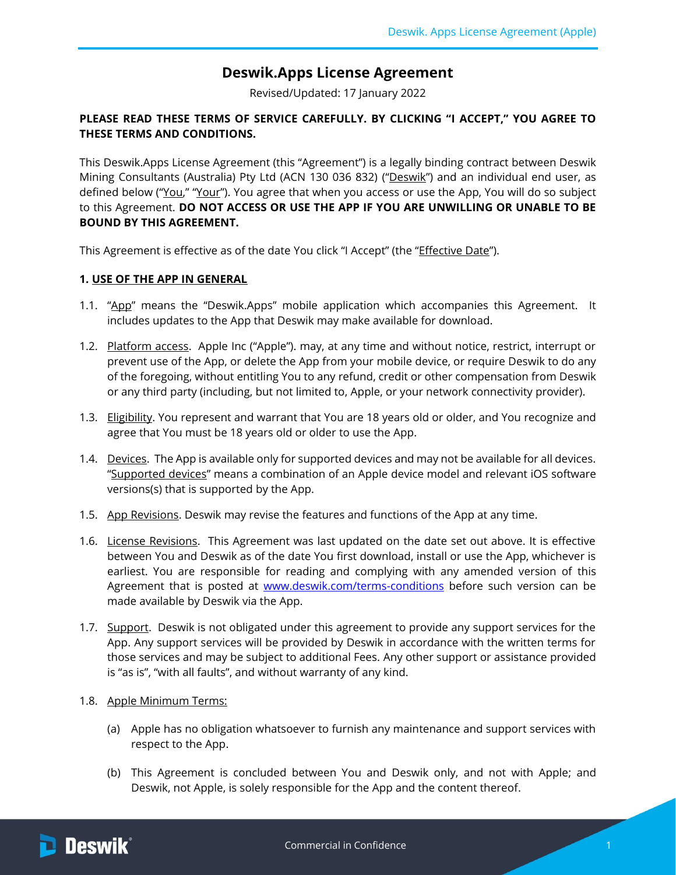# **Deswik.Apps License Agreement**

Revised/Updated: 17 January 2022

## **PLEASE READ THESE TERMS OF SERVICE CAREFULLY. BY CLICKING "I ACCEPT," YOU AGREE TO THESE TERMS AND CONDITIONS.**

This Deswik.Apps License Agreement (this "Agreement") is a legally binding contract between Deswik Mining Consultants (Australia) Pty Ltd (ACN 130 036 832) ("Deswik") and an individual end user, as defined below ("You," "Your"). You agree that when you access or use the App, You will do so subject to this Agreement. **DO NOT ACCESS OR USE THE APP IF YOU ARE UNWILLING OR UNABLE TO BE BOUND BY THIS AGREEMENT.**

This Agreement is effective as of the date You click "I Accept" (the "*Effective Date"*).

#### **1. USE OF THE APP IN GENERAL**

- 1.1. "App" means the "Deswik.Apps" mobile application which accompanies this Agreement. It includes updates to the App that Deswik may make available for download.
- 1.2. Platform access. Apple Inc ("Apple"). may, at any time and without notice, restrict, interrupt or prevent use of the App, or delete the App from your mobile device, or require Deswik to do any of the foregoing, without entitling You to any refund, credit or other compensation from Deswik or any third party (including, but not limited to, Apple, or your network connectivity provider).
- 1.3. Eligibility. You represent and warrant that You are 18 years old or older, and You recognize and agree that You must be 18 years old or older to use the App.
- 1.4. Devices. The App is available only for supported devices and may not be available for all devices. "Supported devices" means a combination of an Apple device model and relevant iOS software versions(s) that is supported by the App.
- 1.5. App Revisions. Deswik may revise the features and functions of the App at any time.
- 1.6. License Revisions. This Agreement was last updated on the date set out above. It is effective between You and Deswik as of the date You first download, install or use the App, whichever is earliest. You are responsible for reading and complying with any amended version of this Agreement that is posted at [www.deswik.com/terms-conditions](http://www.deswik.com/terms-conditions) before such version can be made available by Deswik via the App.
- <span id="page-0-0"></span>1.7. Support. Deswik is not obligated under this agreement to provide any support services for the App. Any support services will be provided by Deswik in accordance with the written terms for those services and may be subject to additional Fees. Any other support or assistance provided is "as is", "with all faults", and without warranty of any kind.
- 1.8. Apple Minimum Terms:
	- (a) Apple has no obligation whatsoever to furnish any maintenance and support services with respect to the App.
	- (b) This Agreement is concluded between You and Deswik only, and not with Apple; and Deswik, not Apple, is solely responsible for the App and the content thereof.

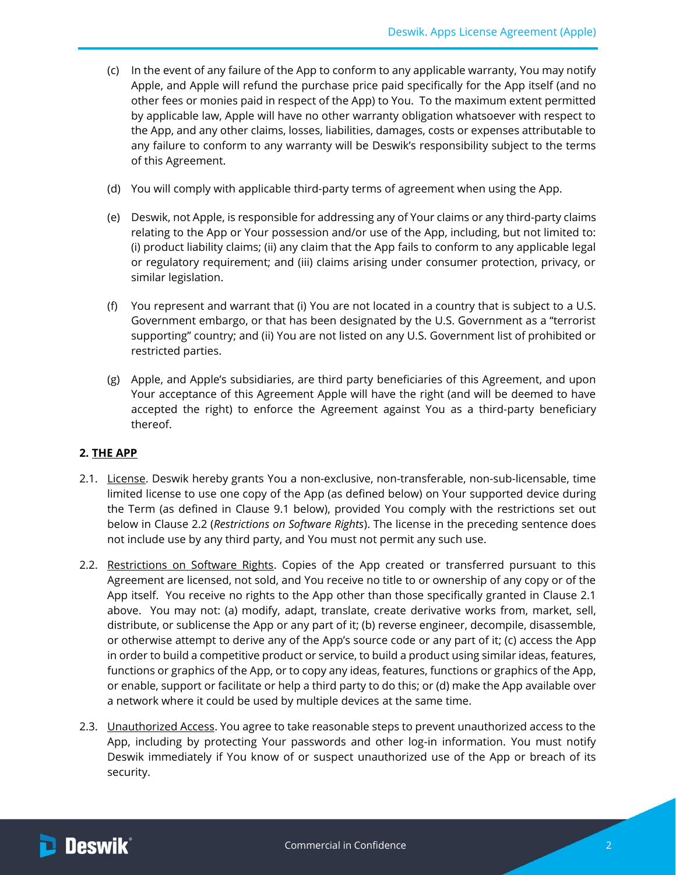- (c) In the event of any failure of the App to conform to any applicable warranty, You may notify Apple, and Apple will refund the purchase price paid specifically for the App itself (and no other fees or monies paid in respect of the App) to You. To the maximum extent permitted by applicable law, Apple will have no other warranty obligation whatsoever with respect to the App, and any other claims, losses, liabilities, damages, costs or expenses attributable to any failure to conform to any warranty will be Deswik's responsibility subject to the terms of this Agreement.
- (d) You will comply with applicable third-party terms of agreement when using the App.
- (e) Deswik, not Apple, is responsible for addressing any of Your claims or any third-party claims relating to the App or Your possession and/or use of the App, including, but not limited to: (i) product liability claims; (ii) any claim that the App fails to conform to any applicable legal or regulatory requirement; and (iii) claims arising under consumer protection, privacy, or similar legislation.
- (f) You represent and warrant that (i) You are not located in a country that is subject to a U.S. Government embargo, or that has been designated by the U.S. Government as a "terrorist supporting" country; and (ii) You are not listed on any U.S. Government list of prohibited or restricted parties.
- (g) Apple, and Apple's subsidiaries, are third party beneficiaries of this Agreement, and upon Your acceptance of this Agreement Apple will have the right (and will be deemed to have accepted the right) to enforce the Agreement against You as a third-party beneficiary thereof.

#### **2. THE APP**

- <span id="page-1-1"></span>2.1. License. Deswik hereby grants You a non-exclusive, non-transferable, non-sub-licensable, time limited license to use one copy of the App (as defined below) on Your supported device during the Term (as defined in Clause [9.1](#page-4-0) below), provided You comply with the restrictions set out below in Clause [2.2](#page-1-0) (*Restrictions on Software Rights*). The license in the preceding sentence does not include use by any third party, and You must not permit any such use.
- <span id="page-1-0"></span>2.2. Restrictions on Software Rights. Copies of the App created or transferred pursuant to this Agreement are licensed, not sold, and You receive no title to or ownership of any copy or of the App itself. You receive no rights to the App other than those specifically granted in Clause [2.1](#page-1-1) above. You may not: (a) modify, adapt, translate, create derivative works from, market, sell, distribute, or sublicense the App or any part of it; (b) reverse engineer, decompile, disassemble, or otherwise attempt to derive any of the App's source code or any part of it; (c) access the App in order to build a competitive product or service, to build a product using similar ideas, features, functions or graphics of the App, or to copy any ideas, features, functions or graphics of the App, or enable, support or facilitate or help a third party to do this; or (d) make the App available over a network where it could be used by multiple devices at the same time.
- 2.3. **Unauthorized Access**. You agree to take reasonable steps to prevent unauthorized access to the App, including by protecting Your passwords and other log-in information. You must notify Deswik immediately if You know of or suspect unauthorized use of the App or breach of its security.

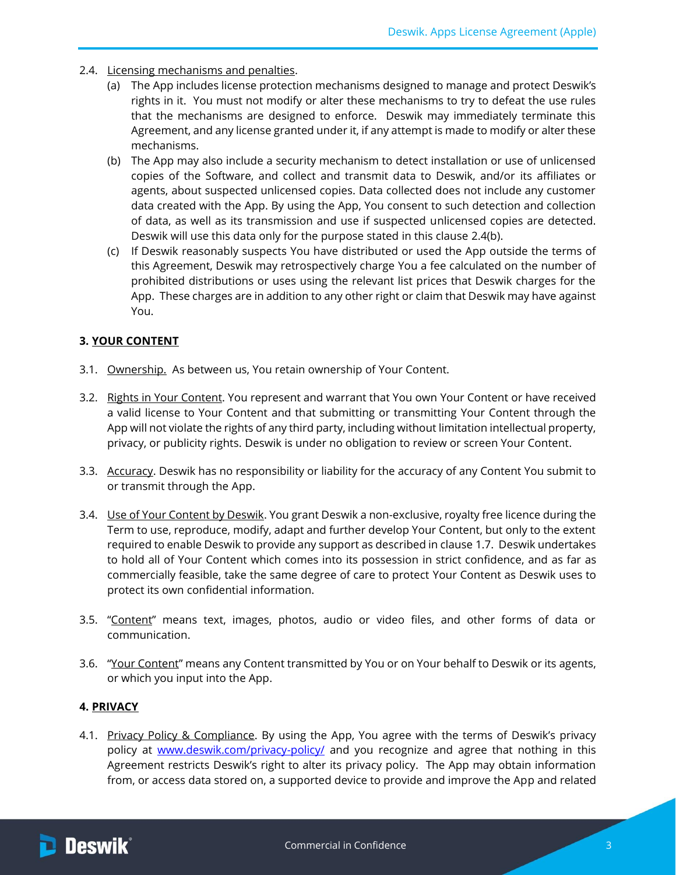- <span id="page-2-0"></span>2.4. Licensing mechanisms and penalties.
	- (a) The App includes license protection mechanisms designed to manage and protect Deswik's rights in it. You must not modify or alter these mechanisms to try to defeat the use rules that the mechanisms are designed to enforce. Deswik may immediately terminate this Agreement, and any license granted under it, if any attempt is made to modify or alter these mechanisms.
	- (b) The App may also include a security mechanism to detect installation or use of unlicensed copies of the Software, and collect and transmit data to Deswik, and/or its affiliates or agents, about suspected unlicensed copies. Data collected does not include any customer data created with the App. By using the App, You consent to such detection and collection of data, as well as its transmission and use if suspected unlicensed copies are detected. Deswik will use this data only for the purpose stated in this clause [2.4\(b\).](#page-2-0)
	- (c) If Deswik reasonably suspects You have distributed or used the App outside the terms of this Agreement, Deswik may retrospectively charge You a fee calculated on the number of prohibited distributions or uses using the relevant list prices that Deswik charges for the App. These charges are in addition to any other right or claim that Deswik may have against You.

### **3. YOUR CONTENT**

- 3.1. Ownership. As between us, You retain ownership of Your Content.
- 3.2. Rights in Your Content. You represent and warrant that You own Your Content or have received a valid license to Your Content and that submitting or transmitting Your Content through the App will not violate the rights of any third party, including without limitation intellectual property, privacy, or publicity rights. Deswik is under no obligation to review or screen Your Content.
- 3.3. Accuracy. Deswik has no responsibility or liability for the accuracy of any Content You submit to or transmit through the App.
- 3.4. Use of Your Content by Deswik. You grant Deswik a non-exclusive, royalty free licence during the Term to use, reproduce, modify, adapt and further develop Your Content, but only to the extent required to enable Deswik to provide any support as described in claus[e 1.7.](#page-0-0) Deswik undertakes to hold all of Your Content which comes into its possession in strict confidence, and as far as commercially feasible, take the same degree of care to protect Your Content as Deswik uses to protect its own confidential information.
- 3.5. "Content" means text, images, photos, audio or video files, and other forms of data or communication.
- 3.6. "Your Content" means any Content transmitted by You or on Your behalf to Deswik or its agents, or which you input into the App.

## **4. PRIVACY**

4.1. Privacy Policy & Compliance. By using the App, You agree with the terms of Deswik's privacy policy at [www.deswik.com/privacy-policy/](http://www.deswik.com/privacy-policy/) and you recognize and agree that nothing in this Agreement restricts Deswik's right to alter its privacy policy. The App may obtain information from, or access data stored on, a supported device to provide and improve the App and related

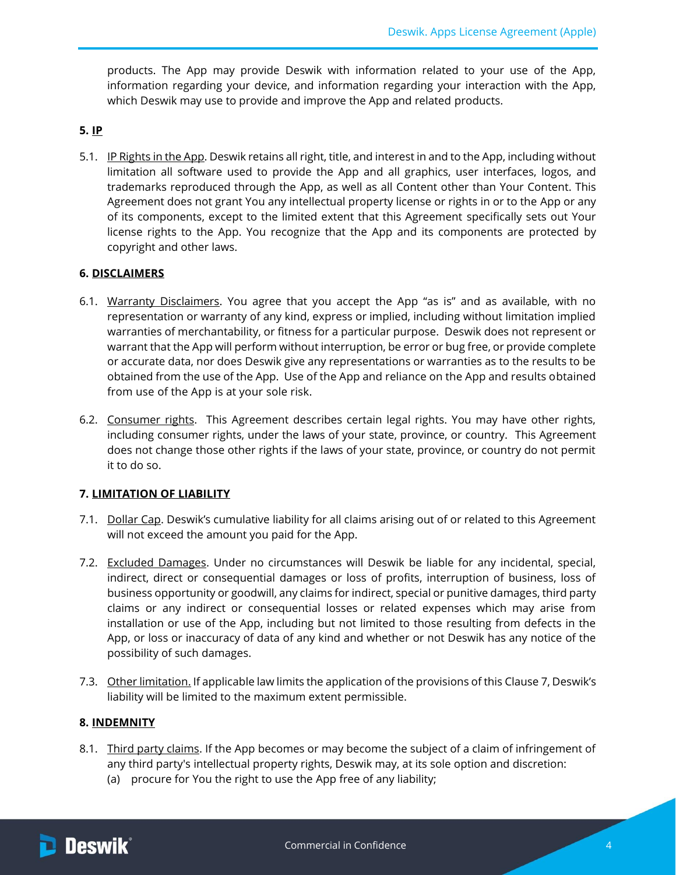products. The App may provide Deswik with information related to your use of the App, information regarding your device, and information regarding your interaction with the App, which Deswik may use to provide and improve the App and related products.

### <span id="page-3-2"></span>**5. IP**

5.1. IP Rights in the App. Deswik retains all right, title, and interest in and to the App, including without limitation all software used to provide the App and all graphics, user interfaces, logos, and trademarks reproduced through the App, as well as all Content other than Your Content. This Agreement does not grant You any intellectual property license or rights in or to the App or any of its components, except to the limited extent that this Agreement specifically sets out Your license rights to the App. You recognize that the App and its components are protected by copyright and other laws.

### <span id="page-3-3"></span>**6. DISCLAIMERS**

- 6.1. Warranty Disclaimers. You agree that you accept the App "as is" and as available, with no representation or warranty of any kind, express or implied, including without limitation implied warranties of merchantability, or fitness for a particular purpose. Deswik does not represent or warrant that the App will perform without interruption, be error or bug free, or provide complete or accurate data, nor does Deswik give any representations or warranties as to the results to be obtained from the use of the App. Use of the App and reliance on the App and results obtained from use of the App is at your sole risk.
- 6.2. Consumer rights. This Agreement describes certain legal rights. You may have other rights, including consumer rights, under the laws of your state, province, or country. This Agreement does not change those other rights if the laws of your state, province, or country do not permit it to do so.

## <span id="page-3-0"></span>**7. LIMITATION OF LIABILITY**

- 7.1. Dollar Cap. Deswik's cumulative liability for all claims arising out of or related to this Agreement will not exceed the amount you paid for the App.
- 7.2. Excluded Damages. Under no circumstances will Deswik be liable for any incidental, special, indirect, direct or consequential damages or loss of profits, interruption of business, loss of business opportunity or goodwill, any claims for indirect, special or punitive damages, third party claims or any indirect or consequential losses or related expenses which may arise from installation or use of the App, including but not limited to those resulting from defects in the App, or loss or inaccuracy of data of any kind and whether or not Deswik has any notice of the possibility of such damages.
- 7.3. Other limitation. If applicable law limits the application of the provisions of this Clause [7,](#page-3-0) Deswik's liability will be limited to the maximum extent permissible.

# **8. INDEMNITY**

- <span id="page-3-1"></span>8.1. Third party claims. If the App becomes or may become the subject of a claim of infringement of any third party's intellectual property rights, Deswik may, at its sole option and discretion:
	- (a) procure for You the right to use the App free of any liability;

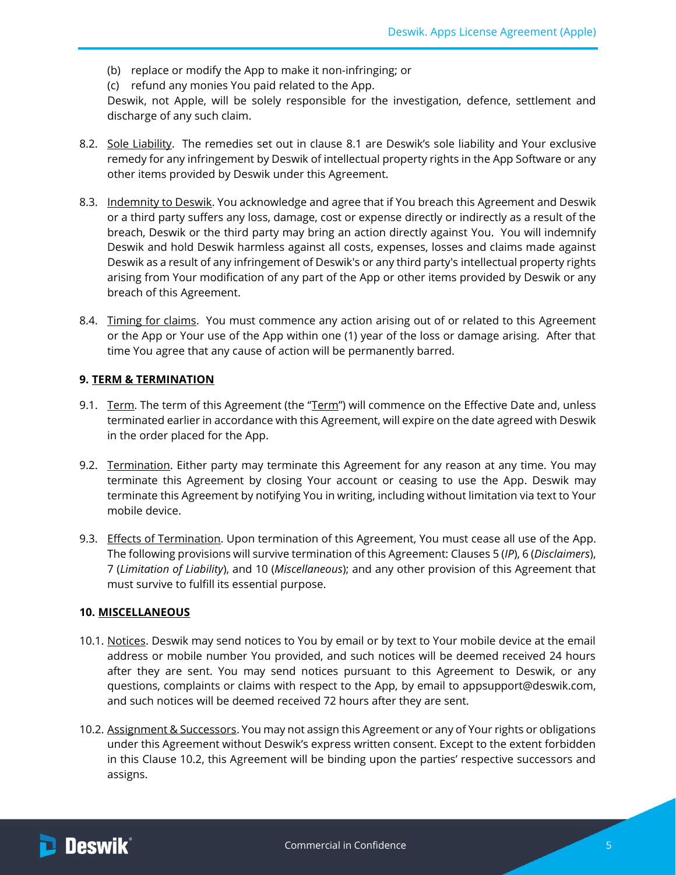- (b) replace or modify the App to make it non-infringing; or
- (c) refund any monies You paid related to the App.

Deswik, not Apple, will be solely responsible for the investigation, defence, settlement and discharge of any such claim.

- 8.2. Sole Liability. The remedies set out in clause [8.1](#page-3-1) are Deswik's sole liability and Your exclusive remedy for any infringement by Deswik of intellectual property rights in the App Software or any other items provided by Deswik under this Agreement.
- 8.3. Indemnity to Deswik. You acknowledge and agree that if You breach this Agreement and Deswik or a third party suffers any loss, damage, cost or expense directly or indirectly as a result of the breach, Deswik or the third party may bring an action directly against You. You will indemnify Deswik and hold Deswik harmless against all costs, expenses, losses and claims made against Deswik as a result of any infringement of Deswik's or any third party's intellectual property rights arising from Your modification of any part of the App or other items provided by Deswik or any breach of this Agreement.
- 8.4. Timing for claims. You must commence any action arising out of or related to this Agreement or the App or Your use of the App within one (1) year of the loss or damage arising. After that time You agree that any cause of action will be permanently barred.

### **9. TERM & TERMINATION**

- <span id="page-4-0"></span>9.1. Term. The term of this Agreement (the "Term") will commence on the Effective Date and, unless terminated earlier in accordance with this Agreement, will expire on the date agreed with Deswik in the order placed for the App.
- 9.2. Termination. Either party may terminate this Agreement for any reason at any time. You may terminate this Agreement by closing Your account or ceasing to use the App. Deswik may terminate this Agreement by notifying You in writing, including without limitation via text to Your mobile device.
- 9.3. Effects of Termination. Upon termination of this Agreement, You must cease all use of the App. The following provisions will survive termination of this Agreement: Clauses [5](#page-3-2) (*IP*)[, 6](#page-3-3) (*Disclaimers*), [7](#page-3-0) (*Limitation of Liability*), and [10](#page-4-1) (*Miscellaneous*); and any other provision of this Agreement that must survive to fulfill its essential purpose.

#### <span id="page-4-1"></span>**10. MISCELLANEOUS**

- 10.1. Notices. Deswik may send notices to You by email or by text to Your mobile device at the email address or mobile number You provided, and such notices will be deemed received 24 hours after they are sent. You may send notices pursuant to this Agreement to Deswik, or any questions, complaints or claims with respect to the App, by email to appsupport@deswik.com, and such notices will be deemed received 72 hours after they are sent.
- <span id="page-4-2"></span>10.2. Assignment & Successors. You may not assign this Agreement or any of Your rights or obligations under this Agreement without Deswik's express written consent. Except to the extent forbidden in this Clause [10.2](#page-4-2), this Agreement will be binding upon the parties' respective successors and assigns.